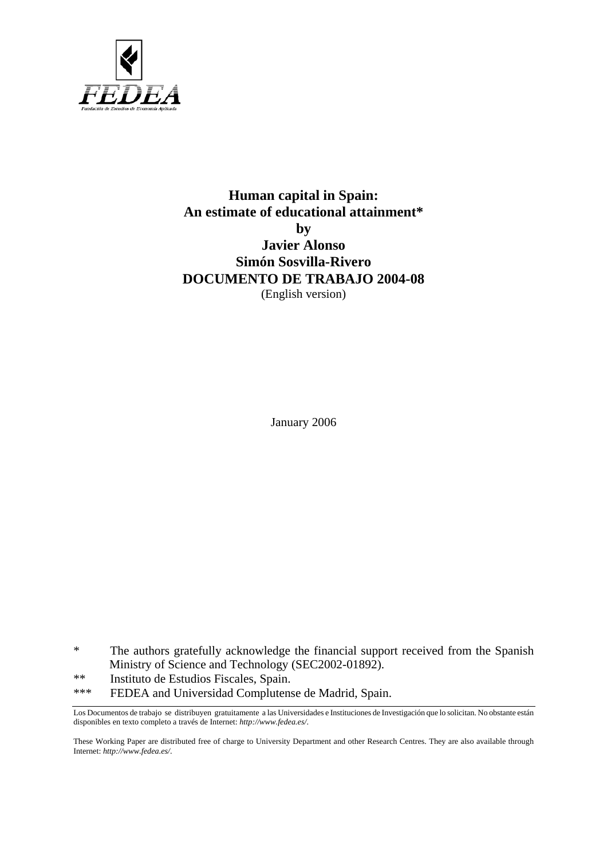

## **Human capital in Spain: An estimate of educational attainment\* by Javier Alonso Simón Sosvilla-Rivero DOCUMENTO DE TRABAJO 2004-08**  (English version)

January 2006

\* The authors gratefully acknowledge the financial support received from the Spanish Ministry of Science and Technology (SEC2002-01892).

\*\* Instituto de Estudios Fiscales, Spain.

\*\*\* FEDEA and Universidad Complutense de Madrid, Spain.

These Working Paper are distributed free of charge to University Department and other Research Centres. They are also available through Internet: *http://www.fedea.es/*.

Los Documentos de trabajo se distribuyen gratuitamente a las Universidades e Instituciones de Investigación que lo solicitan. No obstante están disponibles en texto completo a través de Internet: *http://www.fedea.es/*.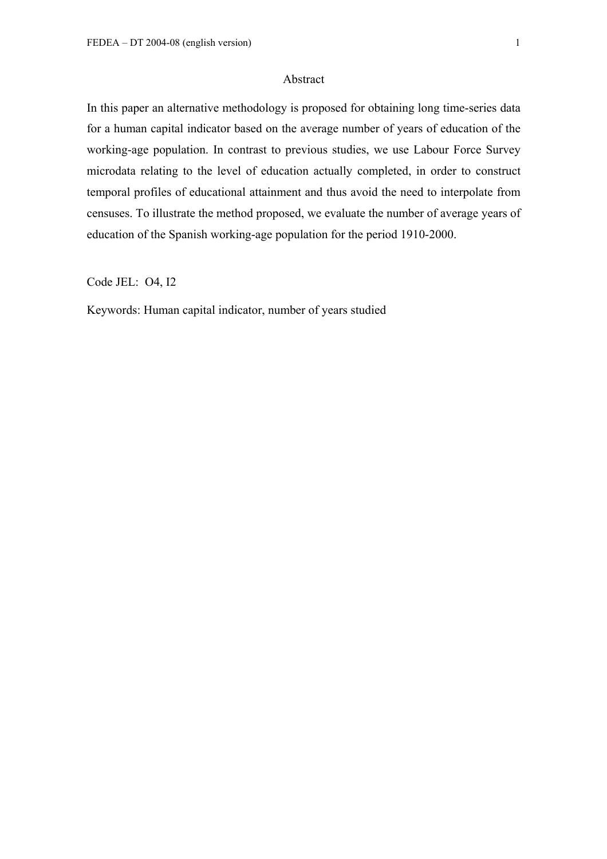### Abstract

In this paper an alternative methodology is proposed for obtaining long time-series data for a human capital indicator based on the average number of years of education of the working-age population. In contrast to previous studies, we use Labour Force Survey microdata relating to the level of education actually completed, in order to construct temporal profiles of educational attainment and thus avoid the need to interpolate from censuses. To illustrate the method proposed, we evaluate the number of average years of education of the Spanish working-age population for the period 1910-2000.

Code JEL: O4, I2

Keywords: Human capital indicator, number of years studied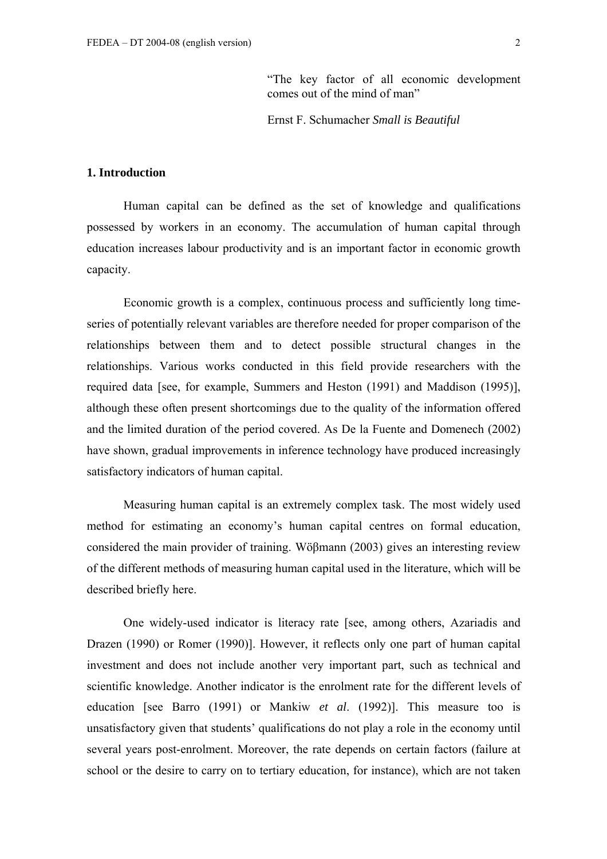"The key factor of all economic development comes out of the mind of man"

Ernst F. Schumacher *Small is Beautiful* 

## **1. Introduction**

Human capital can be defined as the set of knowledge and qualifications possessed by workers in an economy. The accumulation of human capital through education increases labour productivity and is an important factor in economic growth capacity.

Economic growth is a complex, continuous process and sufficiently long timeseries of potentially relevant variables are therefore needed for proper comparison of the relationships between them and to detect possible structural changes in the relationships. Various works conducted in this field provide researchers with the required data [see, for example, Summers and Heston (1991) and Maddison (1995)], although these often present shortcomings due to the quality of the information offered and the limited duration of the period covered. As De la Fuente and Domenech (2002) have shown, gradual improvements in inference technology have produced increasingly satisfactory indicators of human capital.

Measuring human capital is an extremely complex task. The most widely used method for estimating an economy's human capital centres on formal education, considered the main provider of training. Wöβmann (2003) gives an interesting review of the different methods of measuring human capital used in the literature, which will be described briefly here.

One widely-used indicator is literacy rate [see, among others, Azariadis and Drazen (1990) or Romer (1990)]. However, it reflects only one part of human capital investment and does not include another very important part, such as technical and scientific knowledge. Another indicator is the enrolment rate for the different levels of education [see Barro (1991) or Mankiw *et al*. (1992)]. This measure too is unsatisfactory given that students' qualifications do not play a role in the economy until several years post-enrolment. Moreover, the rate depends on certain factors (failure at school or the desire to carry on to tertiary education, for instance), which are not taken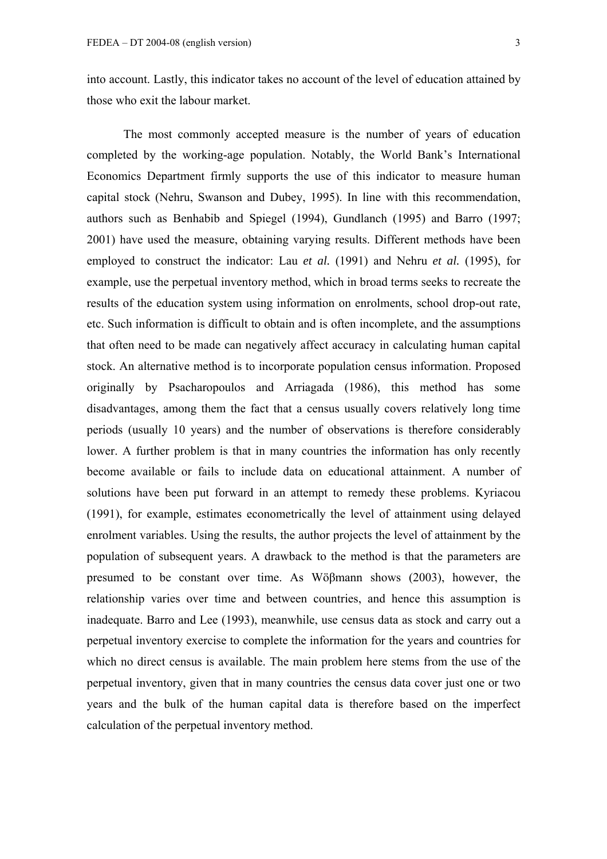into account. Lastly, this indicator takes no account of the level of education attained by those who exit the labour market.

The most commonly accepted measure is the number of years of education completed by the working-age population. Notably, the World Bank's International Economics Department firmly supports the use of this indicator to measure human capital stock (Nehru, Swanson and Dubey, 1995). In line with this recommendation, authors such as Benhabib and Spiegel (1994), Gundlanch (1995) and Barro (1997; 2001) have used the measure, obtaining varying results. Different methods have been employed to construct the indicator: Lau *et al.* (1991) and Nehru *et al.* (1995), for example, use the perpetual inventory method, which in broad terms seeks to recreate the results of the education system using information on enrolments, school drop-out rate, etc. Such information is difficult to obtain and is often incomplete, and the assumptions that often need to be made can negatively affect accuracy in calculating human capital stock. An alternative method is to incorporate population census information. Proposed originally by Psacharopoulos and Arriagada (1986), this method has some disadvantages, among them the fact that a census usually covers relatively long time periods (usually 10 years) and the number of observations is therefore considerably lower. A further problem is that in many countries the information has only recently become available or fails to include data on educational attainment. A number of solutions have been put forward in an attempt to remedy these problems. Kyriacou (1991), for example, estimates econometrically the level of attainment using delayed enrolment variables. Using the results, the author projects the level of attainment by the population of subsequent years. A drawback to the method is that the parameters are presumed to be constant over time. As Wöβmann shows (2003), however, the relationship varies over time and between countries, and hence this assumption is inadequate. Barro and Lee (1993), meanwhile, use census data as stock and carry out a perpetual inventory exercise to complete the information for the years and countries for which no direct census is available. The main problem here stems from the use of the perpetual inventory, given that in many countries the census data cover just one or two years and the bulk of the human capital data is therefore based on the imperfect calculation of the perpetual inventory method.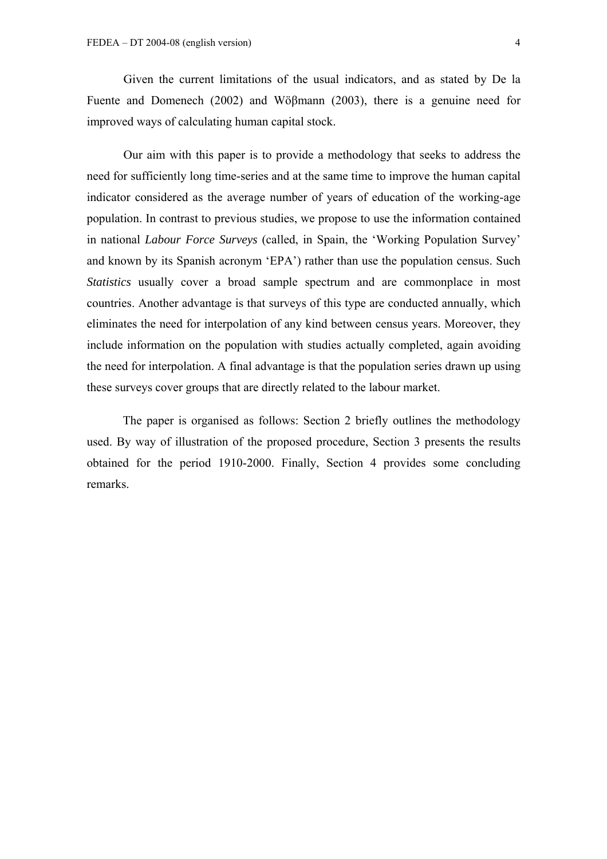Given the current limitations of the usual indicators, and as stated by De la Fuente and Domenech (2002) and Wöβmann (2003), there is a genuine need for improved ways of calculating human capital stock.

Our aim with this paper is to provide a methodology that seeks to address the need for sufficiently long time-series and at the same time to improve the human capital indicator considered as the average number of years of education of the working-age population. In contrast to previous studies, we propose to use the information contained in national *Labour Force Surveys* (called, in Spain, the 'Working Population Survey' and known by its Spanish acronym 'EPA') rather than use the population census. Such *Statistics* usually cover a broad sample spectrum and are commonplace in most countries. Another advantage is that surveys of this type are conducted annually, which eliminates the need for interpolation of any kind between census years. Moreover, they include information on the population with studies actually completed, again avoiding the need for interpolation. A final advantage is that the population series drawn up using these surveys cover groups that are directly related to the labour market.

The paper is organised as follows: Section 2 briefly outlines the methodology used. By way of illustration of the proposed procedure, Section 3 presents the results obtained for the period 1910-2000. Finally, Section 4 provides some concluding remarks.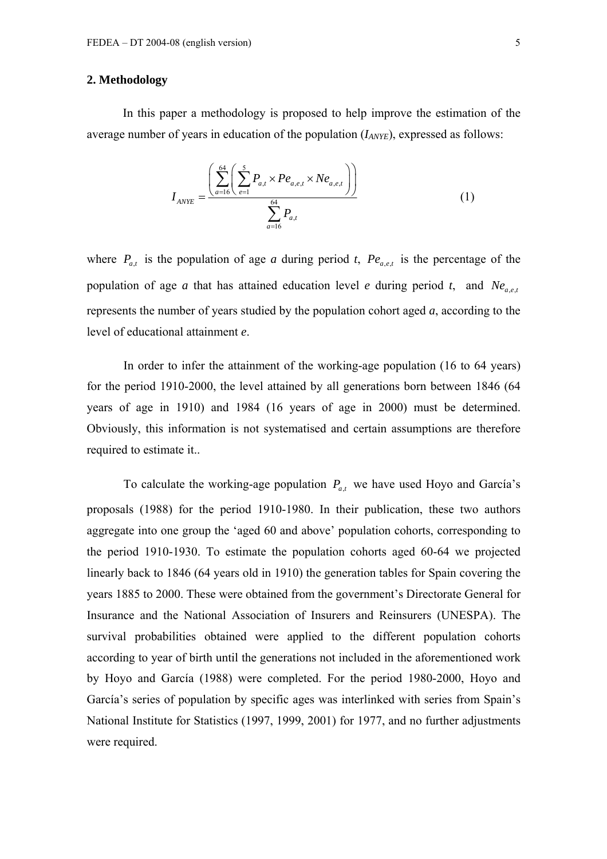## **2. Methodology**

In this paper a methodology is proposed to help improve the estimation of the average number of years in education of the population ( $I_{ANYE}$ ), expressed as follows:

$$
I_{ANYE} = \frac{\left(\sum_{a=16}^{64} \left(\sum_{e=1}^{5} P_{a,t} \times Pe_{a,e,t} \times Ne_{a,e,t}\right)\right)}{\sum_{a=16}^{64} P_{a,t}}
$$
(1)

where  $P_{a,t}$  is the population of age *a* during period *t*,  $Pe_{a,e,t}$  is the percentage of the population of age *a* that has attained education level *e* during period *t*, and  $Ne_{a,e,t}$ represents the number of years studied by the population cohort aged *a*, according to the level of educational attainment *e*.

In order to infer the attainment of the working-age population (16 to 64 years) for the period 1910-2000, the level attained by all generations born between 1846 (64 years of age in 1910) and 1984 (16 years of age in 2000) must be determined. Obviously, this information is not systematised and certain assumptions are therefore required to estimate it..

To calculate the working-age population  $P_{a,t}$  we have used Hoyo and García's proposals (1988) for the period 1910-1980. In their publication, these two authors aggregate into one group the 'aged 60 and above' population cohorts, corresponding to the period 1910-1930. To estimate the population cohorts aged 60-64 we projected linearly back to 1846 (64 years old in 1910) the generation tables for Spain covering the years 1885 to 2000. These were obtained from the government's Directorate General for Insurance and the National Association of Insurers and Reinsurers (UNESPA). The survival probabilities obtained were applied to the different population cohorts according to year of birth until the generations not included in the aforementioned work by Hoyo and García (1988) were completed. For the period 1980-2000, Hoyo and García's series of population by specific ages was interlinked with series from Spain's National Institute for Statistics (1997, 1999, 2001) for 1977, and no further adjustments were required.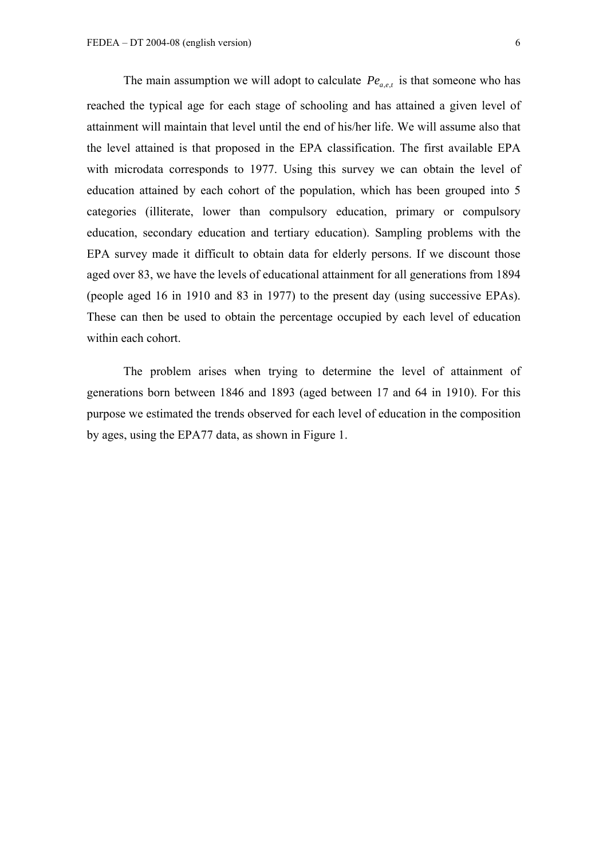The main assumption we will adopt to calculate  $Pe_{a,e,t}$  is that someone who has reached the typical age for each stage of schooling and has attained a given level of attainment will maintain that level until the end of his/her life. We will assume also that the level attained is that proposed in the EPA classification. The first available EPA with microdata corresponds to 1977. Using this survey we can obtain the level of education attained by each cohort of the population, which has been grouped into 5 categories (illiterate, lower than compulsory education, primary or compulsory education, secondary education and tertiary education). Sampling problems with the EPA survey made it difficult to obtain data for elderly persons. If we discount those aged over 83, we have the levels of educational attainment for all generations from 1894 (people aged 16 in 1910 and 83 in 1977) to the present day (using successive EPAs). These can then be used to obtain the percentage occupied by each level of education within each cohort.

The problem arises when trying to determine the level of attainment of generations born between 1846 and 1893 (aged between 17 and 64 in 1910). For this purpose we estimated the trends observed for each level of education in the composition by ages, using the EPA77 data, as shown in Figure 1.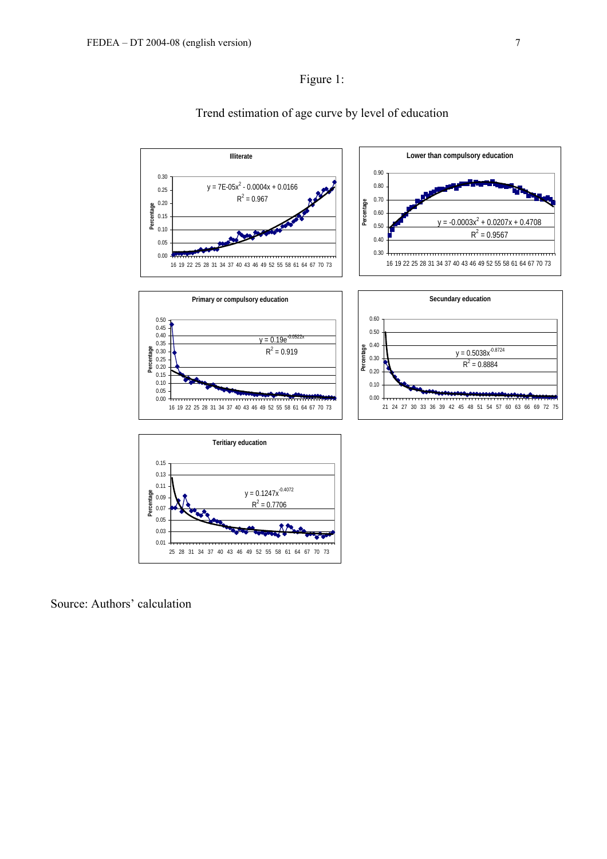

## Trend estimation of age curve by level of education

Source: Authors' calculation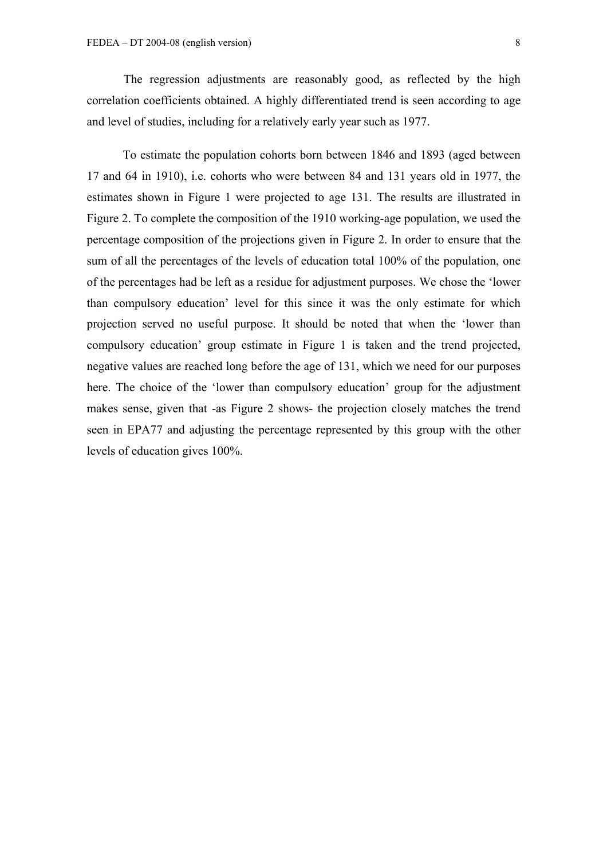The regression adjustments are reasonably good, as reflected by the high correlation coefficients obtained. A highly differentiated trend is seen according to age and level of studies, including for a relatively early year such as 1977.

To estimate the population cohorts born between 1846 and 1893 (aged between 17 and 64 in 1910), i.e. cohorts who were between 84 and 131 years old in 1977, the estimates shown in Figure 1 were projected to age 131. The results are illustrated in Figure 2. To complete the composition of the 1910 working-age population, we used the percentage composition of the projections given in Figure 2. In order to ensure that the sum of all the percentages of the levels of education total 100% of the population, one of the percentages had be left as a residue for adjustment purposes. We chose the 'lower than compulsory education' level for this since it was the only estimate for which projection served no useful purpose. It should be noted that when the 'lower than compulsory education' group estimate in Figure 1 is taken and the trend projected, negative values are reached long before the age of 131, which we need for our purposes here. The choice of the 'lower than compulsory education' group for the adjustment makes sense, given that -as Figure 2 shows- the projection closely matches the trend seen in EPA77 and adjusting the percentage represented by this group with the other levels of education gives 100%.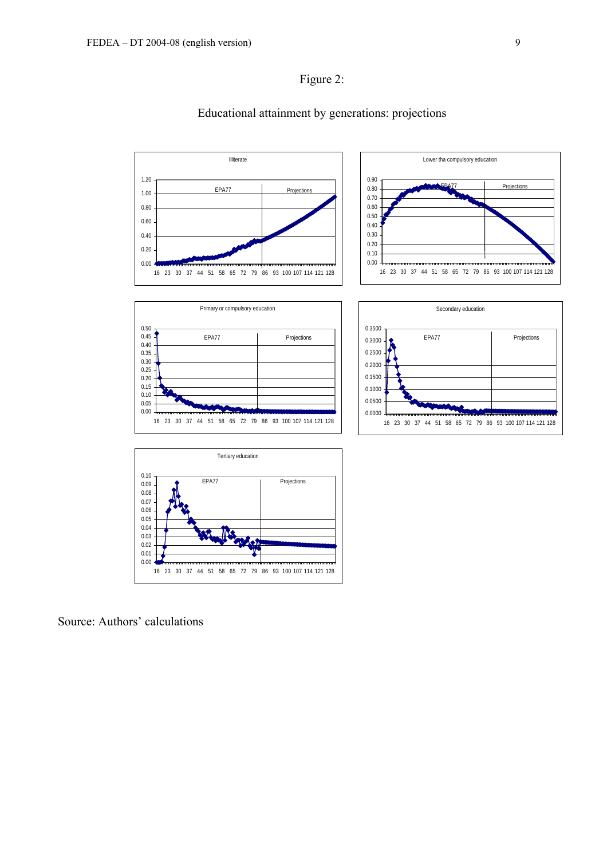



## Educational attainment by generations: projections





Source: Authors' calculations

**Projections**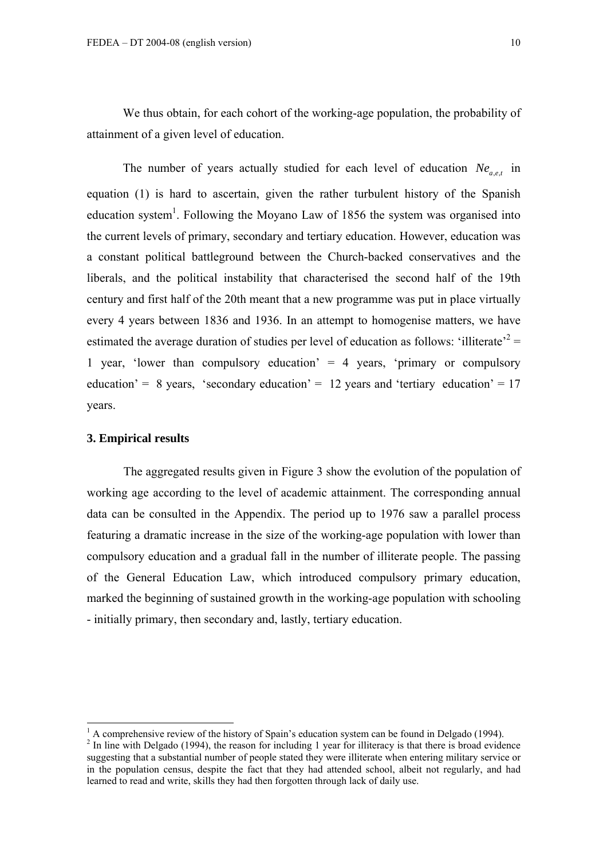We thus obtain, for each cohort of the working-age population, the probability of attainment of a given level of education.

The number of years actually studied for each level of education  $Ne_{a,e,t}$  in equation (1) is hard to ascertain, given the rather turbulent history of the Spanish education system<sup>[1](#page-10-0)</sup>. Following the Moyano Law of 1856 the system was organised into the current levels of primary, secondary and tertiary education. However, education was a constant political battleground between the Church-backed conservatives and the liberals, and the political instability that characterised the second half of the 19th century and first half of the 20th meant that a new programme was put in place virtually every 4 years between 1836 and 1936. In an attempt to homogenise matters, we have estimated the average duration of studies per level of education as follows: 'illiterate'<sup>2</sup> = 1 year, 'lower than compulsory education' = 4 years, 'primary or compulsory education' = 8 years, 'secondary education' = 12 years and 'tertiary education' =  $17$ years.

## **3. Empirical results**

The aggregated results given in Figure 3 show the evolution of the population of working age according to the level of academic attainment. The corresponding annual data can be consulted in the Appendix. The period up to 1976 saw a parallel process featuring a dramatic increase in the size of the working-age population with lower than compulsory education and a gradual fall in the number of illiterate people. The passing of the General Education Law, which introduced compulsory primary education, marked the beginning of sustained growth in the working-age population with schooling - initially primary, then secondary and, lastly, tertiary education.

<span id="page-10-0"></span> $\frac{1}{1}$  $^{1}$  A comprehensive review of the history of Spain's education system can be found in Delgado (1994).

<span id="page-10-1"></span> $<sup>2</sup>$  In line with Delgado (1994), the reason for including 1 year for illiteracy is that there is broad evidence</sup> suggesting that a substantial number of people stated they were illiterate when entering military service or in the population census, despite the fact that they had attended school, albeit not regularly, and had learned to read and write, skills they had then forgotten through lack of daily use.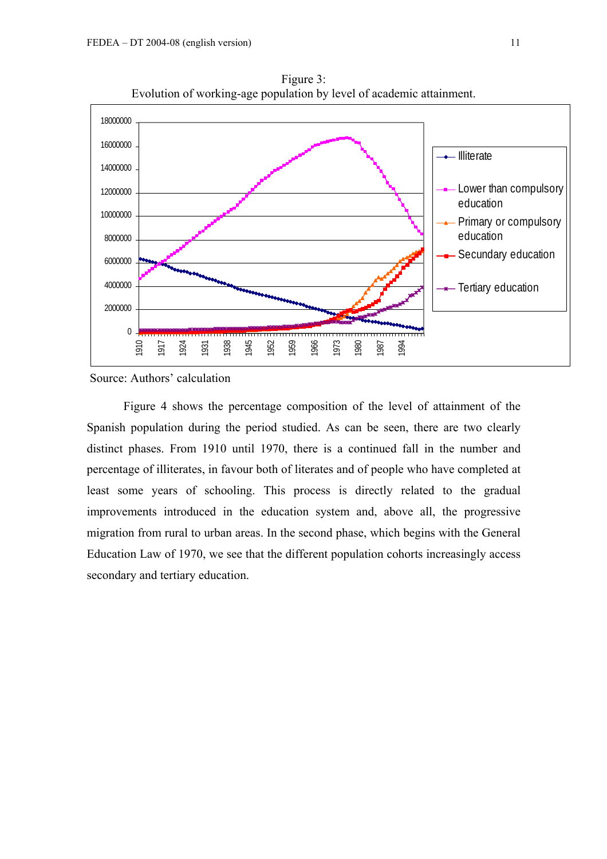

Figure 3: Evolution of working-age population by level of academic attainment.

Source: Authors' calculation

Figure 4 shows the percentage composition of the level of attainment of the Spanish population during the period studied. As can be seen, there are two clearly distinct phases. From 1910 until 1970, there is a continued fall in the number and percentage of illiterates, in favour both of literates and of people who have completed at least some years of schooling. This process is directly related to the gradual improvements introduced in the education system and, above all, the progressive migration from rural to urban areas. In the second phase, which begins with the General Education Law of 1970, we see that the different population cohorts increasingly access secondary and tertiary education.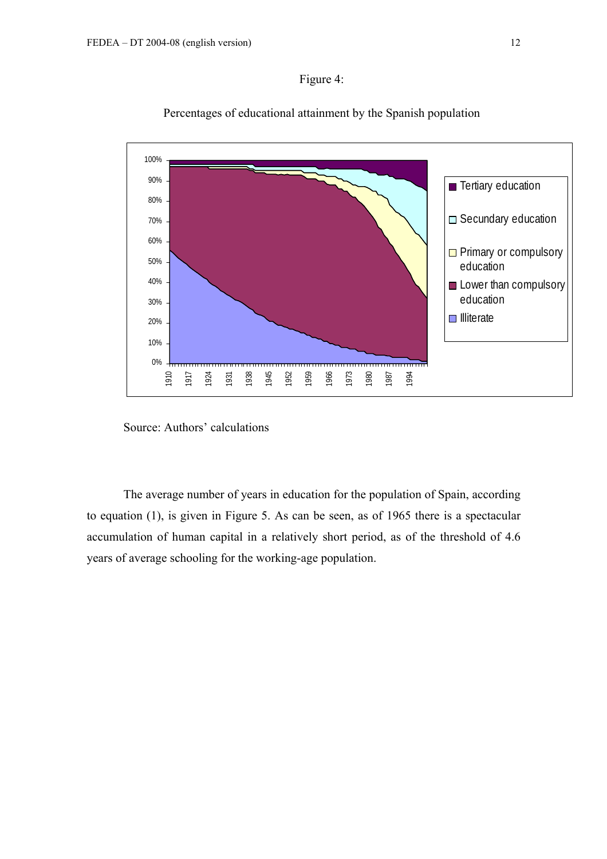Figure 4:



## Percentages of educational attainment by the Spanish population

Source: Authors' calculations

The average number of years in education for the population of Spain, according to equation (1), is given in Figure 5. As can be seen, as of 1965 there is a spectacular accumulation of human capital in a relatively short period, as of the threshold of 4.6 years of average schooling for the working-age population.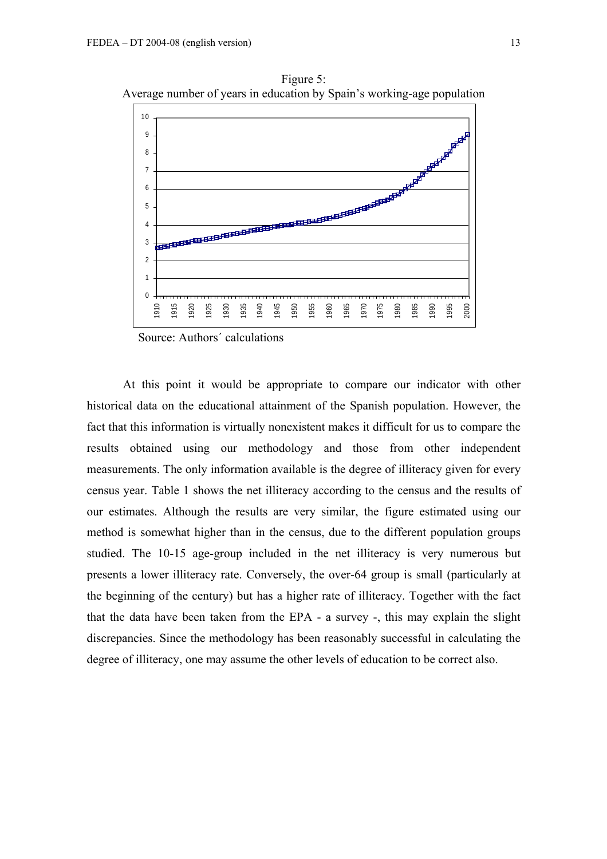

Figure 5: Average number of years in education by Spain's working-age population

Source: Authors´ calculations

At this point it would be appropriate to compare our indicator with other historical data on the educational attainment of the Spanish population. However, the fact that this information is virtually nonexistent makes it difficult for us to compare the results obtained using our methodology and those from other independent measurements. The only information available is the degree of illiteracy given for every census year. Table 1 shows the net illiteracy according to the census and the results of our estimates. Although the results are very similar, the figure estimated using our method is somewhat higher than in the census, due to the different population groups studied. The 10-15 age-group included in the net illiteracy is very numerous but presents a lower illiteracy rate. Conversely, the over-64 group is small (particularly at the beginning of the century) but has a higher rate of illiteracy. Together with the fact that the data have been taken from the EPA - a survey -, this may explain the slight discrepancies. Since the methodology has been reasonably successful in calculating the degree of illiteracy, one may assume the other levels of education to be correct also.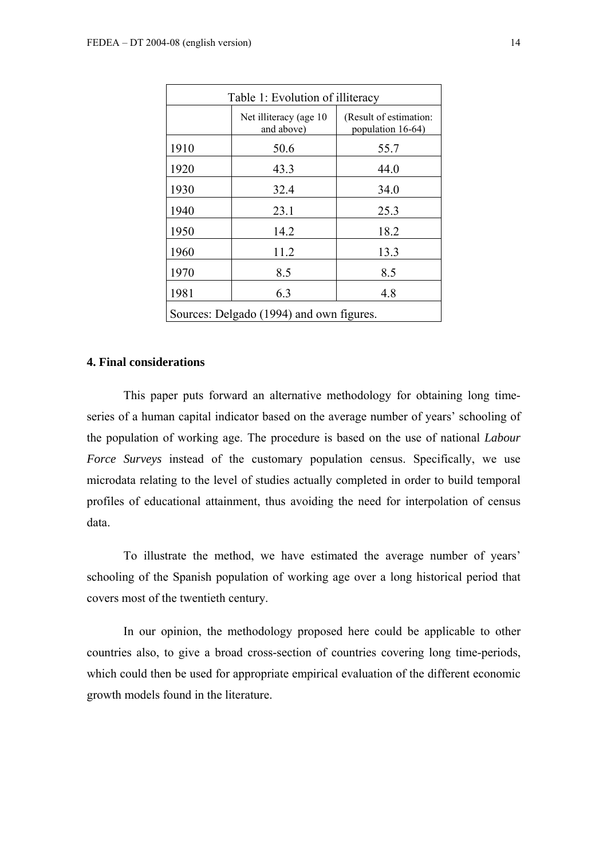| Table 1: Evolution of illiteracy |                                          |                                             |  |  |  |
|----------------------------------|------------------------------------------|---------------------------------------------|--|--|--|
|                                  | Net illiteracy (age 10<br>and above)     | (Result of estimation:<br>population 16-64) |  |  |  |
| 1910                             | 50.6                                     | 55.7                                        |  |  |  |
| 1920                             | 43.3                                     | 44.0                                        |  |  |  |
| 1930                             | 32.4                                     | 34.0                                        |  |  |  |
| 1940                             | 23.1                                     | 25.3                                        |  |  |  |
| 1950                             | 14.2                                     | 18.2                                        |  |  |  |
| 1960                             | 11.2                                     | 13.3                                        |  |  |  |
| 1970                             | 8.5                                      | 8.5                                         |  |  |  |
| 1981                             | 6.3                                      | 4.8                                         |  |  |  |
|                                  | Sources: Delgado (1994) and own figures. |                                             |  |  |  |

## **4. Final considerations**

This paper puts forward an alternative methodology for obtaining long timeseries of a human capital indicator based on the average number of years' schooling of the population of working age. The procedure is based on the use of national *Labour Force Surveys* instead of the customary population census. Specifically, we use microdata relating to the level of studies actually completed in order to build temporal profiles of educational attainment, thus avoiding the need for interpolation of census data.

To illustrate the method, we have estimated the average number of years' schooling of the Spanish population of working age over a long historical period that covers most of the twentieth century.

In our opinion, the methodology proposed here could be applicable to other countries also, to give a broad cross-section of countries covering long time-periods, which could then be used for appropriate empirical evaluation of the different economic growth models found in the literature.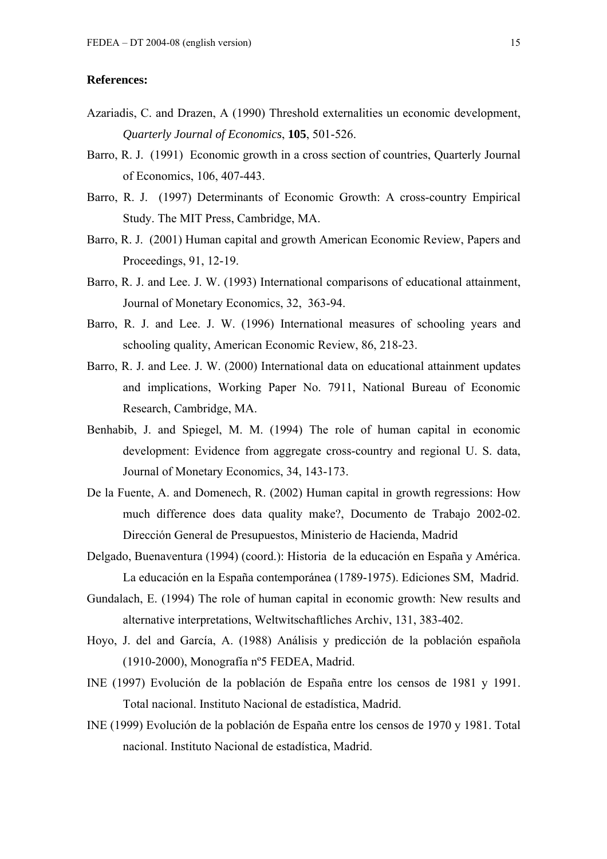## **References:**

- Azariadis, C. and Drazen, A (1990) Threshold externalities un economic development, *Quarterly Journal of Economics*, **105**, 501-526.
- Barro, R. J. (1991) Economic growth in a cross section of countries, Quarterly Journal of Economics, 106, 407-443.
- Barro, R. J. (1997) Determinants of Economic Growth: A cross-country Empirical Study. The MIT Press, Cambridge, MA.
- Barro, R. J. (2001) Human capital and growth American Economic Review, Papers and Proceedings, 91, 12-19.
- Barro, R. J. and Lee. J. W. (1993) International comparisons of educational attainment, Journal of Monetary Economics, 32, 363-94.
- Barro, R. J. and Lee. J. W. (1996) International measures of schooling years and schooling quality, American Economic Review, 86, 218-23.
- Barro, R. J. and Lee. J. W. (2000) International data on educational attainment updates and implications, Working Paper No. 7911, National Bureau of Economic Research, Cambridge, MA.
- Benhabib, J. and Spiegel, M. M. (1994) The role of human capital in economic development: Evidence from aggregate cross-country and regional U. S. data, Journal of Monetary Economics, 34, 143-173.
- De la Fuente, A. and Domenech, R. (2002) Human capital in growth regressions: How much difference does data quality make?, Documento de Trabajo 2002-02. Dirección General de Presupuestos, Ministerio de Hacienda, Madrid
- Delgado, Buenaventura (1994) (coord.): Historia de la educación en España y América. La educación en la España contemporánea (1789-1975). Ediciones SM, Madrid.
- Gundalach, E. (1994) The role of human capital in economic growth: New results and alternative interpretations, Weltwitschaftliches Archiv, 131, 383-402.
- Hoyo, J. del and García, A. (1988) Análisis y predicción de la población española (1910-2000), Monografía nº5 FEDEA, Madrid.
- INE (1997) Evolución de la población de España entre los censos de 1981 y 1991. Total nacional. Instituto Nacional de estadística, Madrid.
- INE (1999) Evolución de la población de España entre los censos de 1970 y 1981. Total nacional. Instituto Nacional de estadística, Madrid.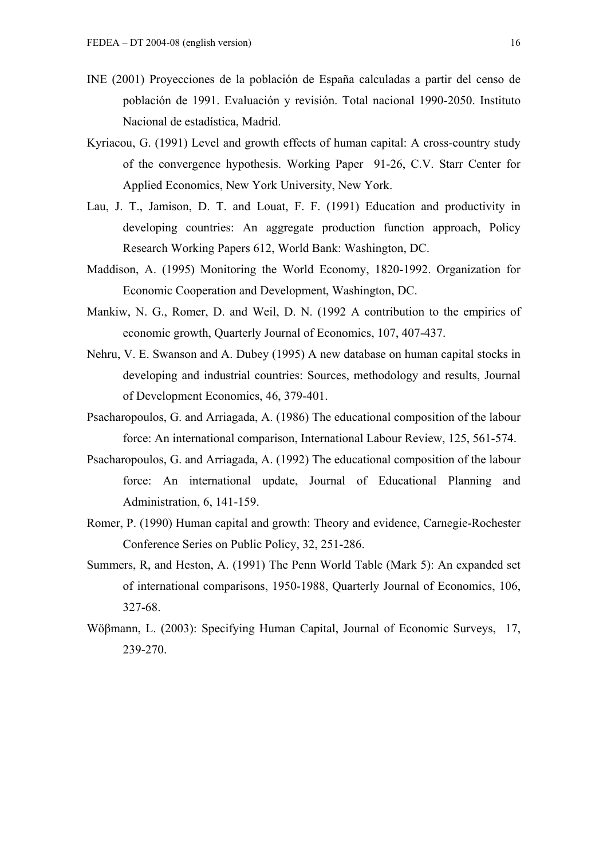- INE (2001) Proyecciones de la población de España calculadas a partir del censo de población de 1991. Evaluación y revisión. Total nacional 1990-2050. Instituto Nacional de estadística, Madrid.
- Kyriacou, G. (1991) Level and growth effects of human capital: A cross-country study of the convergence hypothesis. Working Paper 91-26, C.V. Starr Center for Applied Economics, New York University, New York.
- Lau, J. T., Jamison, D. T. and Louat, F. F. (1991) Education and productivity in developing countries: An aggregate production function approach, Policy Research Working Papers 612, World Bank: Washington, DC.
- Maddison, A. (1995) Monitoring the World Economy, 1820-1992. Organization for Economic Cooperation and Development, Washington, DC.
- Mankiw, N. G., Romer, D. and Weil, D. N. (1992 A contribution to the empirics of economic growth, Quarterly Journal of Economics, 107, 407-437.
- Nehru, V. E. Swanson and A. Dubey (1995) A new database on human capital stocks in developing and industrial countries: Sources, methodology and results, Journal of Development Economics, 46, 379-401.
- Psacharopoulos, G. and Arriagada, A. (1986) The educational composition of the labour force: An international comparison, International Labour Review, 125, 561-574.
- Psacharopoulos, G. and Arriagada, A. (1992) The educational composition of the labour force: An international update, Journal of Educational Planning and Administration, 6, 141-159.
- Romer, P. (1990) Human capital and growth: Theory and evidence, Carnegie-Rochester Conference Series on Public Policy, 32, 251-286.
- Summers, R, and Heston, A. (1991) The Penn World Table (Mark 5): An expanded set of international comparisons, 1950-1988, Quarterly Journal of Economics, 106, 327-68.
- Wöβmann, L. (2003): Specifying Human Capital, Journal of Economic Surveys, 17, 239-270.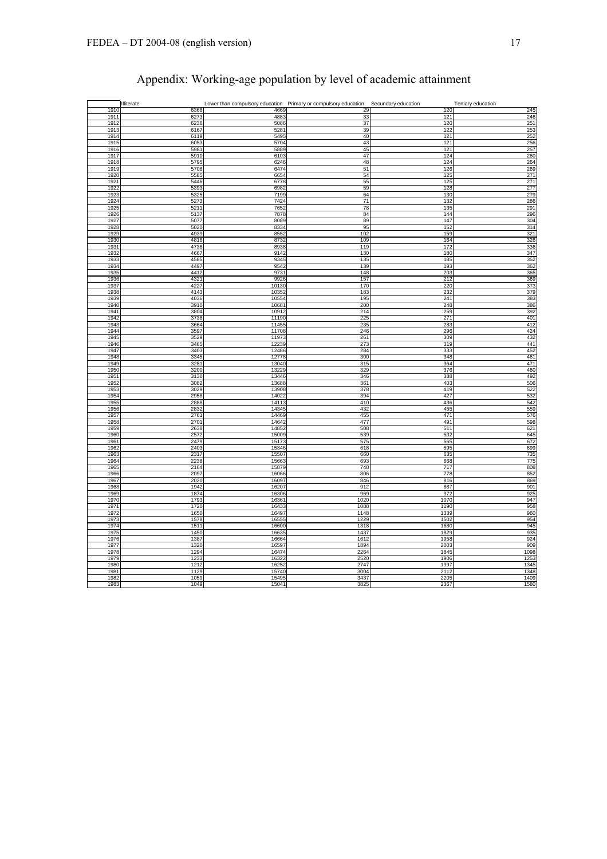|              | Illiterate   | Lower than compulsory education Primary or compulsory education |              | Secundary education | Tertiary education |
|--------------|--------------|-----------------------------------------------------------------|--------------|---------------------|--------------------|
| 1910         | 6368         | 4669                                                            | 29           | 120                 | 245                |
| 1911<br>1912 | 6273<br>6236 | 4883<br>5086                                                    | 33<br>37     | 121<br>120          | 246<br>251         |
| 1913         | 6167         | 5281                                                            | 39           | 122                 | 253                |
| 1914         | 6119         | 5495                                                            | 40           | 121                 | 252                |
| 1915         | 6053         | 5704                                                            | 43           | 121                 | 256                |
| 1916<br>1917 | 598<br>5910  | 588 <sup>c</sup><br>6103                                        | 45<br>47     | 121<br>124          | 257<br>260         |
| 1918         | 5795         | 6246                                                            | 48           | 124                 | 264                |
| 1919         | 5708         | 6474                                                            | 51           | 126                 | 269                |
| 1920         | 5585         | 6654                                                            | 54           | 125                 | 271                |
| 1921         | 5446         | 6778                                                            | 55           | 125                 | 271                |
| 1922<br>1923 | 5393<br>5325 | 6982<br>7199                                                    | 59<br>64     | 128<br>130          | 277<br>279         |
| 1924         | 5273         | 7424                                                            | 71           | 132                 | 286                |
| 1925         | 521          | 7652                                                            | 78           | 135                 | 291                |
| 1926         | 5137         | 7878                                                            | 84           | 144                 | 296                |
| 1927<br>1928 | 5077<br>5020 | 8089<br>8334                                                    | 89<br>95     | 147<br>152          | 304<br>314         |
| 1929         | 4939         | 8552                                                            | 102          | 159                 | 321                |
| 1930         | 4816         | 8732                                                            | 109          | 164                 | 326                |
| 1931         | 4738         | 8938                                                            | 119          | 172                 | 336                |
| 1932         | 4667         | 9142                                                            | 130          | 180                 | 347                |
| 1933<br>1934 | 4585<br>4497 | 9345<br>9542                                                    | 135<br>139   | 185<br>193          | 352<br>362         |
| 1935         | 4412         | 9731                                                            | 148          | 203                 | 365                |
| 1936         | 4321         | 9926                                                            | 157          | 212                 | 369                |
| 1937         | 4227         | 10130                                                           | 170          | 220                 | 373                |
| 1938<br>1939 | 4143<br>4036 | 10352<br>10554                                                  | 183<br>195   | 232<br>241          | 379<br>383         |
| 1940         | 3910         | 10681                                                           | 200          | 248                 | 386                |
| 1941         | 3804         | 10912                                                           | 214          | 259                 | 392                |
| 1942         | 3738         | 11190                                                           | 225          | 271                 | 401                |
| 1943         | 3664         | 11455                                                           | 235          | 283                 | 412<br>424         |
| 1944<br>1945 | 3597<br>3529 | 11708<br>11973                                                  | 246<br>261   | 296<br>309          | 432                |
| 1946         | 3465         | 12239                                                           | 273          | 319                 | 441                |
| 1947         | 3403         | 12486                                                           | 284          | 333                 | 452                |
| 1948         | 3345         | 12778                                                           | 300          | 348                 | 461                |
| 1949<br>1950 | 328'<br>3200 | 13040<br>13229                                                  | 315<br>329   | 364<br>376          | 471<br>480         |
| 1951         | 3130         | 13446                                                           | 346          | 388                 | 492                |
| 1952         | 308          | 13688                                                           | 361          | 403                 | 506                |
| 1953         | 3029         | 13908                                                           | 378          | 419                 | 522                |
| 1954<br>1955 | 2958<br>2888 | 14022<br>14113                                                  | 394<br>410   | 427<br>436          | 532<br>542         |
| 1956         | 283          | 14345                                                           | 432          | 455                 | 559                |
| 1957         | 2761         | 14469                                                           | 455          | 471                 | 576                |
| 1958         | 2701         | 14642                                                           | 477          | 491                 | 598                |
| 1959<br>1960 | 2638<br>2572 | 14852<br>15009                                                  | 508<br>539   | 511<br>532          | 621<br>645         |
| 1961         | 2479         | 15173                                                           | 575          | 565                 | 672                |
| 1962         | 2403         | 15346                                                           | 618          | 595                 | 699                |
| 1963         | 2317         | 15507                                                           | 660          | 635                 | 735                |
| 1964<br>1965 | 2238<br>2164 | 15663<br>15879                                                  | 693<br>748   | 668<br>717          | 775<br>808         |
| 1966         | 2097         | 16066                                                           | 806          | 778                 | 852                |
| 1967         | 2020         | 16097                                                           | 846          | 816                 | 869                |
| 1968         | 1942         | 16207                                                           | 912          | 887                 | 901                |
| 1969<br>1970 | 1874<br>1793 | 16306<br>16361                                                  | 969<br>1020  | 972<br>1070         | 925<br>947         |
| 1971         | 1720         | 16433                                                           | 1088         | 1190                | 958                |
| 1972         | 1650         | 16497                                                           | 1148         | 1339                | 960                |
| 1973         | 1578         | 16555                                                           | 1229         | 1502                | 954                |
| 1974<br>1975 | 1511<br>1450 | 16600<br>16635                                                  | 1318<br>1437 | 1680<br>1829        | 945<br>935         |
| 1976         | 1387         | 16664                                                           | 1612         | 1958                | 924                |
| 1977         | 1320         | 16597                                                           | 1894         | 2003                | 909                |
| 1978         | 1294         | 16474                                                           | 2264         | 1845                | 1098               |
| 1979         | 1233         | 16322                                                           | 2520         | 1906                | 1253               |
| 1980<br>1981 | 1212<br>1129 | 16252<br>15740                                                  | 2747<br>3004 | 1997<br>2112        | 1345<br>1348       |
| 1982         | 1059         | 15495                                                           | 3437         | 2205                | 1409               |
| 1983         | 1049         | 15041                                                           | 3825         | 2367                | 1580               |

# Appendix: Working-age population by level of academic attainment